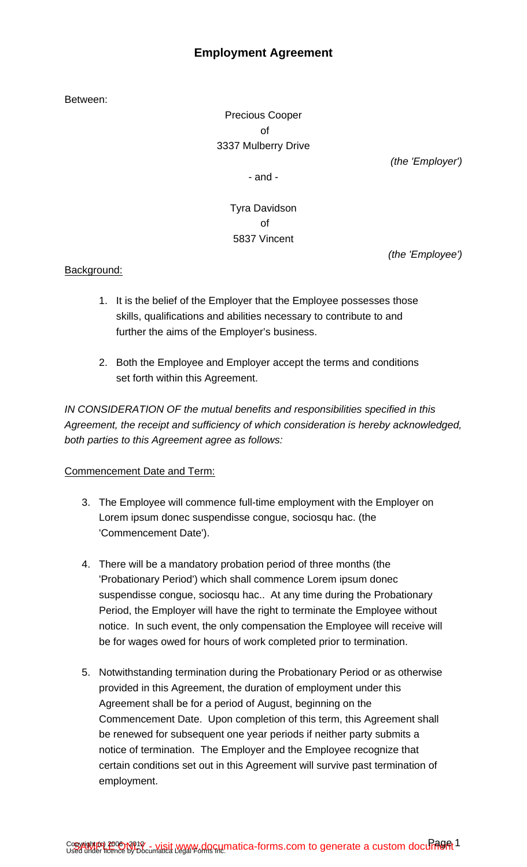# **Employment Agreement**

Between:

Precious Cooper of 3337 Mulberry Drive

(the 'Employer')

- and -

Tyra Davidson of 5837 Vincent

(the 'Employee')

## Background:

- 1. It is the belief of the Employer that the Employee possesses those skills, qualifications and abilities necessary to contribute to and further the aims of the Employer's business.
- 2. Both the Employee and Employer accept the terms and conditions set forth within this Agreement.

IN CONSIDERATION OF the mutual benefits and responsibilities specified in this Agreement, the receipt and sufficiency of which consideration is hereby acknowledged, both parties to this Agreement agree as follows:

## Commencement Date and Term:

- 3. The Employee will commence full-time employment with the Employer on Lorem ipsum donec suspendisse congue, sociosqu hac. (the 'Commencement Date').
- 4. There will be a mandatory probation period of three months (the 'Probationary Period') which shall commence Lorem ipsum donec suspendisse congue, sociosqu hac.. At any time during the Probationary Period, the Employer will have the right to terminate the Employee without notice. In such event, the only compensation the Employee will receive will be for wages owed for hours of work completed prior to termination.
- 5. Notwithstanding termination during the Probationary Period or as otherwise provided in this Agreement, the duration of employment under this Agreement shall be for a period of August, beginning on the Commencement Date. Upon completion of this term, this Agreement shall be renewed for subsequent one year periods if neither party submits a notice of termination. The Employer and the Employee recognize that certain conditions set out in this Agreement will survive past termination of employment.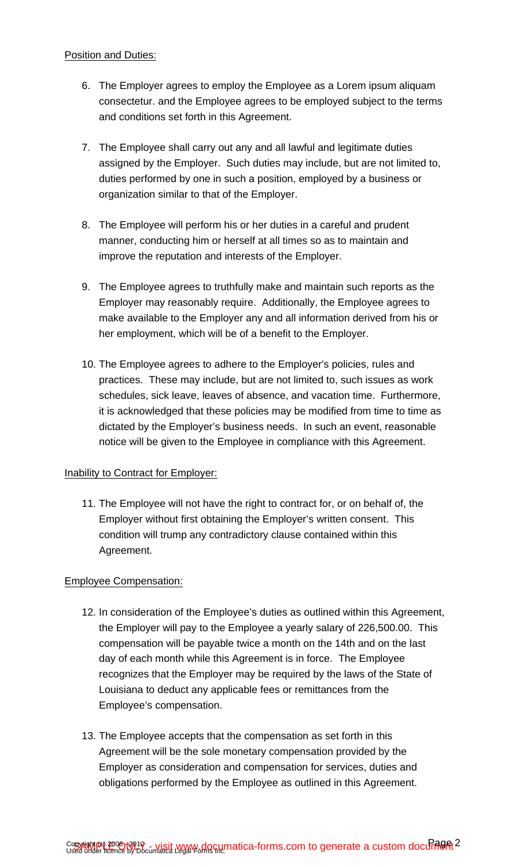#### Position and Duties:

- 6. The Employer agrees to employ the Employee as a Lorem ipsum aliquam consectetur. and the Employee agrees to be employed subject to the terms and conditions set forth in this Agreement.
- 7. The Employee shall carry out any and all lawful and legitimate duties assigned by the Employer. Such duties may include, but are not limited to, duties performed by one in such a position, employed by a business or organization similar to that of the Employer.
- 8. The Employee will perform his or her duties in a careful and prudent manner, conducting him or herself at all times so as to maintain and improve the reputation and interests of the Employer.
- 9. The Employee agrees to truthfully make and maintain such reports as the Employer may reasonably require. Additionally, the Employee agrees to make available to the Employer any and all information derived from his or her employment, which will be of a benefit to the Employer.
- 10. The Employee agrees to adhere to the Employer's policies, rules and practices. These may include, but are not limited to, such issues as work schedules, sick leave, leaves of absence, and vacation time. Furthermore, it is acknowledged that these policies may be modified from time to time as dictated by the Employer's business needs. In such an event, reasonable notice will be given to the Employee in compliance with this Agreement.

## Inability to Contract for Employer:

11. The Employee will not have the right to contract for, or on behalf of, the Employer without first obtaining the Employer's written consent. This condition will trump any contradictory clause contained within this Agreement.

## Employee Compensation:

- 12. In consideration of the Employee's duties as outlined within this Agreement, the Employer will pay to the Employee a yearly salary of 226,500.00. This compensation will be payable twice a month on the 14th and on the last day of each month while this Agreement is in force. The Employee recognizes that the Employer may be required by the laws of the State of Louisiana to deduct any applicable fees or remittances from the Employee's compensation.
- 13. The Employee accepts that the compensation as set forth in this Agreement will be the sole monetary compensation provided by the Employer as consideration and compensation for services, duties and obligations performed by the Employee as outlined in this Agreement.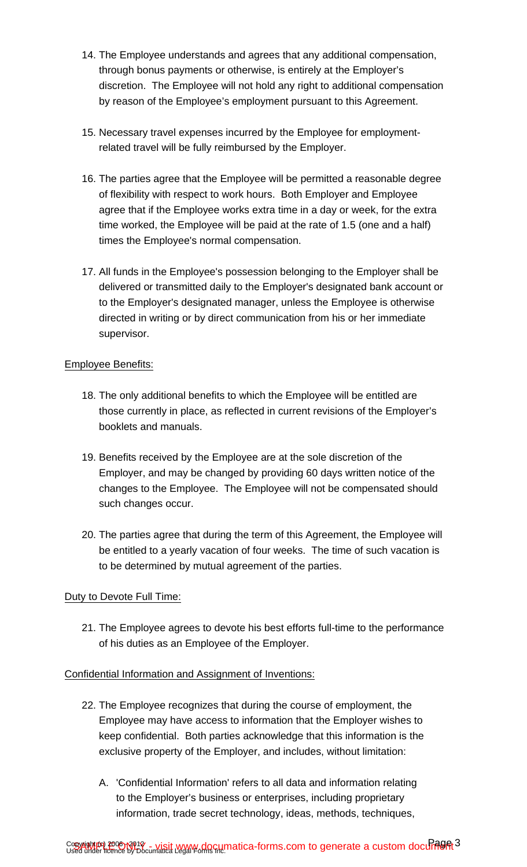- 14. The Employee understands and agrees that any additional compensation, through bonus payments or otherwise, is entirely at the Employer's discretion. The Employee will not hold any right to additional compensation by reason of the Employee's employment pursuant to this Agreement.
- 15. Necessary travel expenses incurred by the Employee for employmentrelated travel will be fully reimbursed by the Employer.
- 16. The parties agree that the Employee will be permitted a reasonable degree of flexibility with respect to work hours. Both Employer and Employee agree that if the Employee works extra time in a day or week, for the extra time worked, the Employee will be paid at the rate of 1.5 (one and a half) times the Employee's normal compensation.
- 17. All funds in the Employee's possession belonging to the Employer shall be delivered or transmitted daily to the Employer's designated bank account or to the Employer's designated manager, unless the Employee is otherwise directed in writing or by direct communication from his or her immediate supervisor.

## Employee Benefits:

- 18. The only additional benefits to which the Employee will be entitled are those currently in place, as reflected in current revisions of the Employer's booklets and manuals.
- 19. Benefits received by the Employee are at the sole discretion of the Employer, and may be changed by providing 60 days written notice of the changes to the Employee. The Employee will not be compensated should such changes occur.
- 20. The parties agree that during the term of this Agreement, the Employee will be entitled to a yearly vacation of four weeks. The time of such vacation is to be determined by mutual agreement of the parties.

## Duty to Devote Full Time:

21. The Employee agrees to devote his best efforts full-time to the performance of his duties as an Employee of the Employer.

Confidential Information and Assignment of Inventions:

- 22. The Employee recognizes that during the course of employment, the Employee may have access to information that the Employer wishes to keep confidential. Both parties acknowledge that this information is the exclusive property of the Employer, and includes, without limitation:
	- A. 'Confidential Information' refers to all data and information relating to the Employer's business or enterprises, including proprietary information, trade secret technology, ideas, methods, techniques,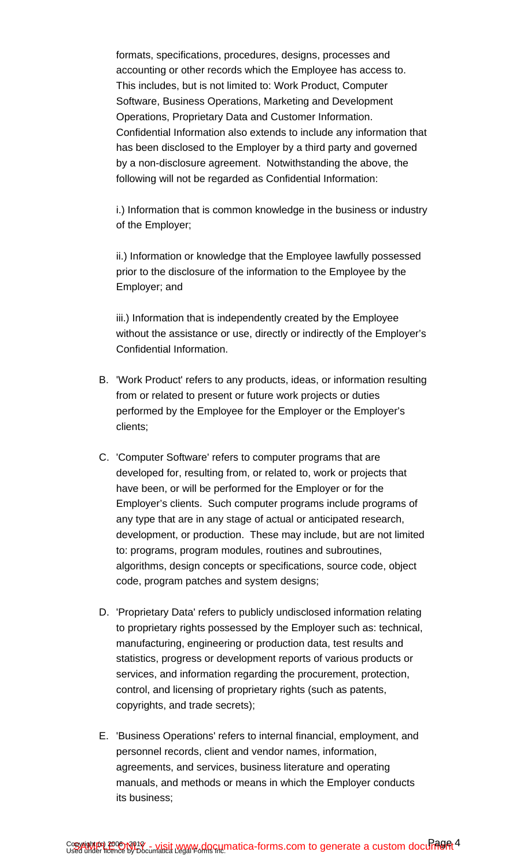formats, specifications, procedures, designs, processes and accounting or other records which the Employee has access to. This includes, but is not limited to: Work Product, Computer Software, Business Operations, Marketing and Development Operations, Proprietary Data and Customer Information. Confidential Information also extends to include any information that has been disclosed to the Employer by a third party and governed by a non-disclosure agreement. Notwithstanding the above, the following will not be regarded as Confidential Information:

i.) Information that is common knowledge in the business or industry of the Employer;

ii.) Information or knowledge that the Employee lawfully possessed prior to the disclosure of the information to the Employee by the Employer; and

iii.) Information that is independently created by the Employee without the assistance or use, directly or indirectly of the Employer's Confidential Information.

- B. 'Work Product' refers to any products, ideas, or information resulting from or related to present or future work projects or duties performed by the Employee for the Employer or the Employer's clients;
- C. 'Computer Software' refers to computer programs that are developed for, resulting from, or related to, work or projects that have been, or will be performed for the Employer or for the Employer's clients. Such computer programs include programs of any type that are in any stage of actual or anticipated research, development, or production. These may include, but are not limited to: programs, program modules, routines and subroutines, algorithms, design concepts or specifications, source code, object code, program patches and system designs;
- D. 'Proprietary Data' refers to publicly undisclosed information relating to proprietary rights possessed by the Employer such as: technical, manufacturing, engineering or production data, test results and statistics, progress or development reports of various products or services, and information regarding the procurement, protection, control, and licensing of proprietary rights (such as patents, copyrights, and trade secrets);
- E. 'Business Operations' refers to internal financial, employment, and personnel records, client and vendor names, information, agreements, and services, business literature and operating manuals, and methods or means in which the Employer conducts its business;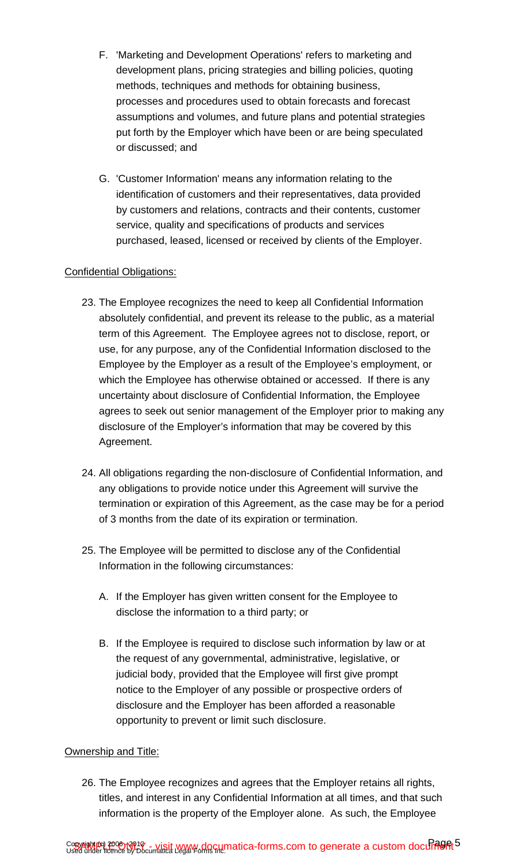- F. 'Marketing and Development Operations' refers to marketing and development plans, pricing strategies and billing policies, quoting methods, techniques and methods for obtaining business, processes and procedures used to obtain forecasts and forecast assumptions and volumes, and future plans and potential strategies put forth by the Employer which have been or are being speculated or discussed; and
- G. 'Customer Information' means any information relating to the identification of customers and their representatives, data provided by customers and relations, contracts and their contents, customer service, quality and specifications of products and services purchased, leased, licensed or received by clients of the Employer.

## Confidential Obligations:

- 23. The Employee recognizes the need to keep all Confidential Information absolutely confidential, and prevent its release to the public, as a material term of this Agreement. The Employee agrees not to disclose, report, or use, for any purpose, any of the Confidential Information disclosed to the Employee by the Employer as a result of the Employee's employment, or which the Employee has otherwise obtained or accessed. If there is any uncertainty about disclosure of Confidential Information, the Employee agrees to seek out senior management of the Employer prior to making any disclosure of the Employer's information that may be covered by this Agreement.
- 24. All obligations regarding the non-disclosure of Confidential Information, and any obligations to provide notice under this Agreement will survive the termination or expiration of this Agreement, as the case may be for a period of 3 months from the date of its expiration or termination.
- 25. The Employee will be permitted to disclose any of the Confidential Information in the following circumstances:
	- A. If the Employer has given written consent for the Employee to disclose the information to a third party; or
	- B. If the Employee is required to disclose such information by law or at the request of any governmental, administrative, legislative, or judicial body, provided that the Employee will first give prompt notice to the Employer of any possible or prospective orders of disclosure and the Employer has been afforded a reasonable opportunity to prevent or limit such disclosure.

#### Ownership and Title:

26. The Employee recognizes and agrees that the Employer retains all rights, titles, and interest in any Confidential Information at all times, and that such information is the property of the Employer alone. As such, the Employee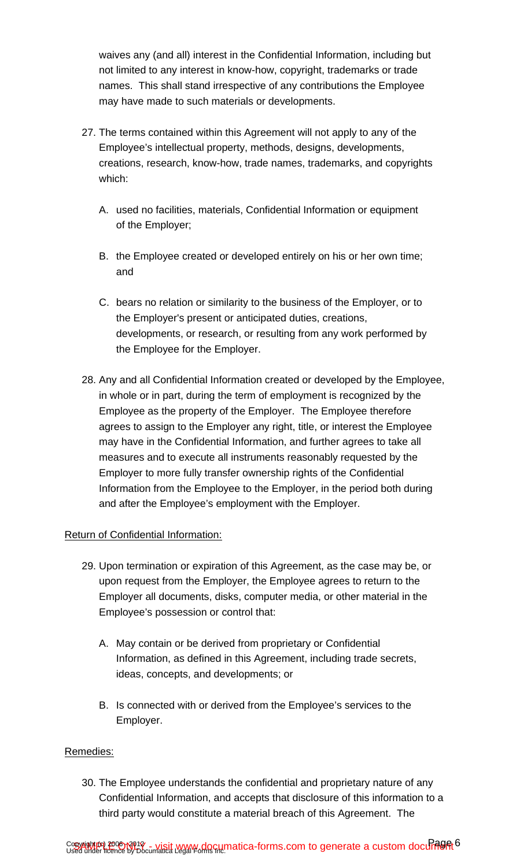waives any (and all) interest in the Confidential Information, including but not limited to any interest in know-how, copyright, trademarks or trade names. This shall stand irrespective of any contributions the Employee may have made to such materials or developments.

- 27. The terms contained within this Agreement will not apply to any of the Employee's intellectual property, methods, designs, developments, creations, research, know-how, trade names, trademarks, and copyrights which:
	- A. used no facilities, materials, Confidential Information or equipment of the Employer;
	- B. the Employee created or developed entirely on his or her own time; and
	- C. bears no relation or similarity to the business of the Employer, or to the Employer's present or anticipated duties, creations, developments, or research, or resulting from any work performed by the Employee for the Employer.
- 28. Any and all Confidential Information created or developed by the Employee, in whole or in part, during the term of employment is recognized by the Employee as the property of the Employer. The Employee therefore agrees to assign to the Employer any right, title, or interest the Employee may have in the Confidential Information, and further agrees to take all measures and to execute all instruments reasonably requested by the Employer to more fully transfer ownership rights of the Confidential Information from the Employee to the Employer, in the period both during and after the Employee's employment with the Employer.

## Return of Confidential Information:

- 29. Upon termination or expiration of this Agreement, as the case may be, or upon request from the Employer, the Employee agrees to return to the Employer all documents, disks, computer media, or other material in the Employee's possession or control that:
	- A. May contain or be derived from proprietary or Confidential Information, as defined in this Agreement, including trade secrets, ideas, concepts, and developments; or
	- B. Is connected with or derived from the Employee's services to the Employer.

## Remedies:

30. The Employee understands the confidential and proprietary nature of any Confidential Information, and accepts that disclosure of this information to a third party would constitute a material breach of this Agreement. The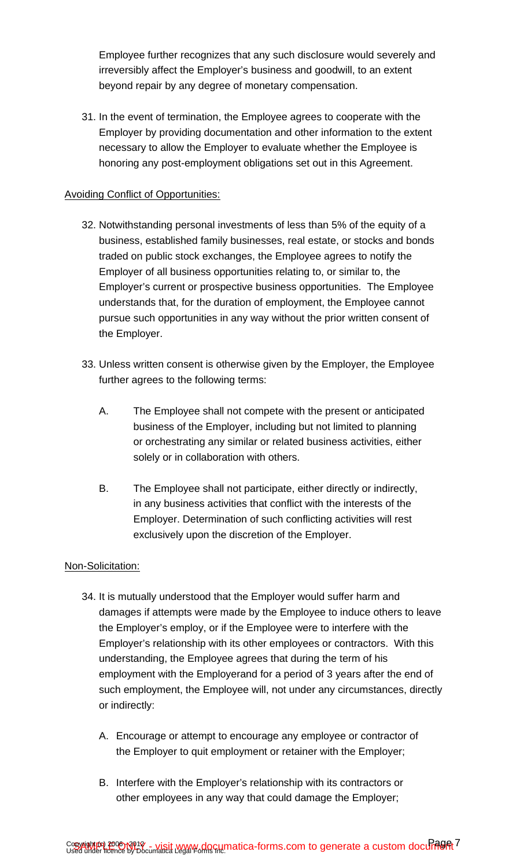Employee further recognizes that any such disclosure would severely and irreversibly affect the Employer's business and goodwill, to an extent beyond repair by any degree of monetary compensation.

31. In the event of termination, the Employee agrees to cooperate with the Employer by providing documentation and other information to the extent necessary to allow the Employer to evaluate whether the Employee is honoring any post-employment obligations set out in this Agreement.

#### Avoiding Conflict of Opportunities:

- 32. Notwithstanding personal investments of less than 5% of the equity of a business, established family businesses, real estate, or stocks and bonds traded on public stock exchanges, the Employee agrees to notify the Employer of all business opportunities relating to, or similar to, the Employer's current or prospective business opportunities. The Employee understands that, for the duration of employment, the Employee cannot pursue such opportunities in any way without the prior written consent of the Employer.
- 33. Unless written consent is otherwise given by the Employer, the Employee further agrees to the following terms:
	- A. The Employee shall not compete with the present or anticipated business of the Employer, including but not limited to planning or orchestrating any similar or related business activities, either solely or in collaboration with others.
	- B. The Employee shall not participate, either directly or indirectly, in any business activities that conflict with the interests of the Employer. Determination of such conflicting activities will rest exclusively upon the discretion of the Employer.

## Non-Solicitation:

- 34. It is mutually understood that the Employer would suffer harm and damages if attempts were made by the Employee to induce others to leave the Employer's employ, or if the Employee were to interfere with the Employer's relationship with its other employees or contractors. With this understanding, the Employee agrees that during the term of his employment with the Employerand for a period of 3 years after the end of such employment, the Employee will, not under any circumstances, directly or indirectly:
	- A. Encourage or attempt to encourage any employee or contractor of the Employer to quit employment or retainer with the Employer;
	- B. Interfere with the Employer's relationship with its contractors or other employees in any way that could damage the Employer;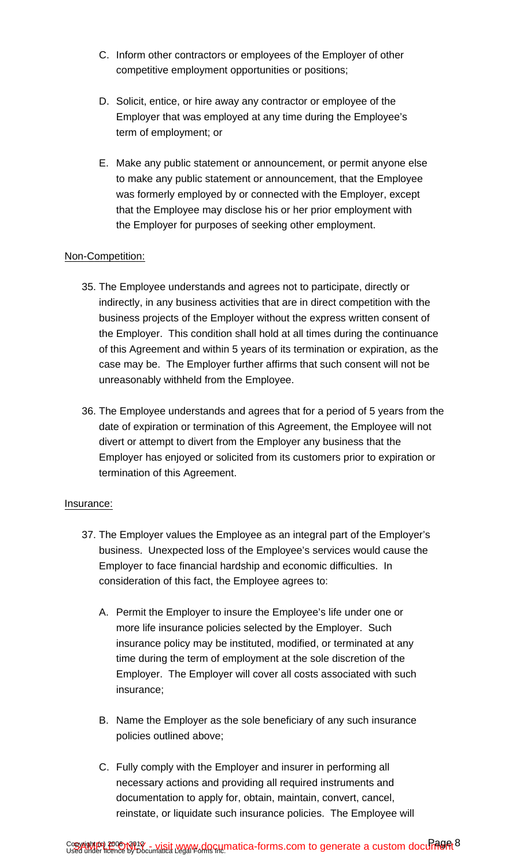- C. Inform other contractors or employees of the Employer of other competitive employment opportunities or positions;
- D. Solicit, entice, or hire away any contractor or employee of the Employer that was employed at any time during the Employee's term of employment; or
- E. Make any public statement or announcement, or permit anyone else to make any public statement or announcement, that the Employee was formerly employed by or connected with the Employer, except that the Employee may disclose his or her prior employment with the Employer for purposes of seeking other employment.

#### Non-Competition:

- 35. The Employee understands and agrees not to participate, directly or indirectly, in any business activities that are in direct competition with the business projects of the Employer without the express written consent of the Employer. This condition shall hold at all times during the continuance of this Agreement and within 5 years of its termination or expiration, as the case may be. The Employer further affirms that such consent will not be unreasonably withheld from the Employee.
- 36. The Employee understands and agrees that for a period of 5 years from the date of expiration or termination of this Agreement, the Employee will not divert or attempt to divert from the Employer any business that the Employer has enjoyed or solicited from its customers prior to expiration or termination of this Agreement.

#### Insurance:

- 37. The Employer values the Employee as an integral part of the Employer's business. Unexpected loss of the Employee's services would cause the Employer to face financial hardship and economic difficulties. In consideration of this fact, the Employee agrees to:
	- A. Permit the Employer to insure the Employee's life under one or more life insurance policies selected by the Employer. Such insurance policy may be instituted, modified, or terminated at any time during the term of employment at the sole discretion of the Employer. The Employer will cover all costs associated with such insurance;
	- B. Name the Employer as the sole beneficiary of any such insurance policies outlined above;
	- C. Fully comply with the Employer and insurer in performing all necessary actions and providing all required instruments and documentation to apply for, obtain, maintain, convert, cancel, reinstate, or liquidate such insurance policies. The Employee will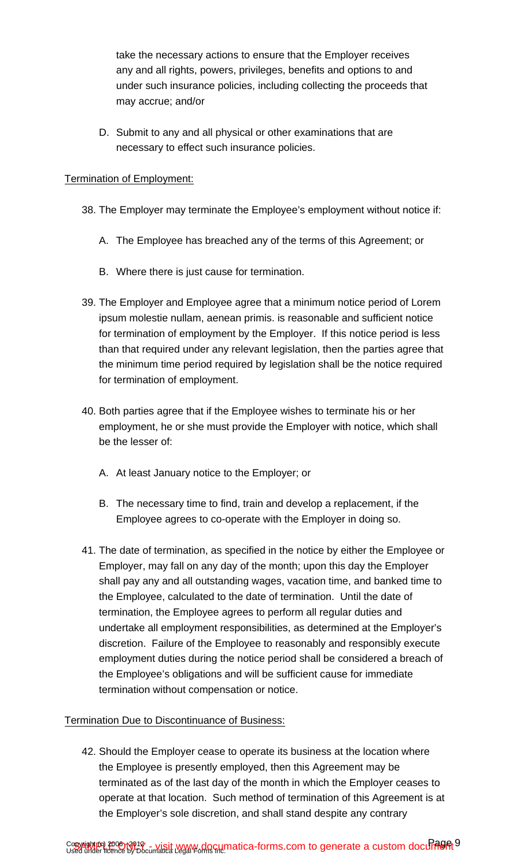take the necessary actions to ensure that the Employer receives any and all rights, powers, privileges, benefits and options to and under such insurance policies, including collecting the proceeds that may accrue; and/or

D. Submit to any and all physical or other examinations that are necessary to effect such insurance policies.

### Termination of Employment:

- 38. The Employer may terminate the Employee's employment without notice if:
	- A. The Employee has breached any of the terms of this Agreement; or
	- B. Where there is just cause for termination.
- 39. The Employer and Employee agree that a minimum notice period of Lorem ipsum molestie nullam, aenean primis. is reasonable and sufficient notice for termination of employment by the Employer. If this notice period is less than that required under any relevant legislation, then the parties agree that the minimum time period required by legislation shall be the notice required for termination of employment.
- 40. Both parties agree that if the Employee wishes to terminate his or her employment, he or she must provide the Employer with notice, which shall be the lesser of:
	- A. At least January notice to the Employer; or
	- B. The necessary time to find, train and develop a replacement, if the Employee agrees to co-operate with the Employer in doing so.
- 41. The date of termination, as specified in the notice by either the Employee or Employer, may fall on any day of the month; upon this day the Employer shall pay any and all outstanding wages, vacation time, and banked time to the Employee, calculated to the date of termination. Until the date of termination, the Employee agrees to perform all regular duties and undertake all employment responsibilities, as determined at the Employer's discretion. Failure of the Employee to reasonably and responsibly execute employment duties during the notice period shall be considered a breach of the Employee's obligations and will be sufficient cause for immediate termination without compensation or notice.

## Termination Due to Discontinuance of Business:

42. Should the Employer cease to operate its business at the location where the Employee is presently employed, then this Agreement may be terminated as of the last day of the month in which the Employer ceases to operate at that location. Such method of termination of this Agreement is at the Employer's sole discretion, and shall stand despite any contrary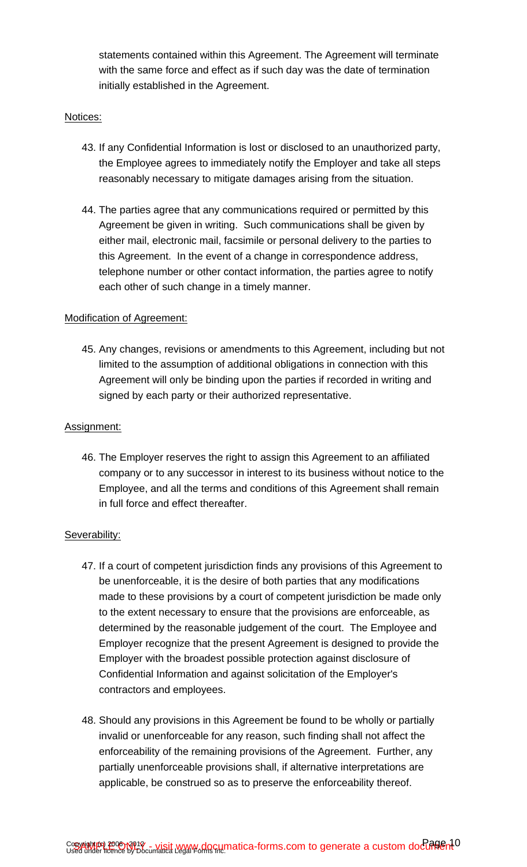statements contained within this Agreement. The Agreement will terminate with the same force and effect as if such day was the date of termination initially established in the Agreement.

#### Notices:

- 43. If any Confidential Information is lost or disclosed to an unauthorized party, the Employee agrees to immediately notify the Employer and take all steps reasonably necessary to mitigate damages arising from the situation.
- 44. The parties agree that any communications required or permitted by this Agreement be given in writing. Such communications shall be given by either mail, electronic mail, facsimile or personal delivery to the parties to this Agreement. In the event of a change in correspondence address, telephone number or other contact information, the parties agree to notify each other of such change in a timely manner.

#### Modification of Agreement:

45. Any changes, revisions or amendments to this Agreement, including but not limited to the assumption of additional obligations in connection with this Agreement will only be binding upon the parties if recorded in writing and signed by each party or their authorized representative.

#### Assignment:

46. The Employer reserves the right to assign this Agreement to an affiliated company or to any successor in interest to its business without notice to the Employee, and all the terms and conditions of this Agreement shall remain in full force and effect thereafter.

#### Severability:

- 47. If a court of competent jurisdiction finds any provisions of this Agreement to be unenforceable, it is the desire of both parties that any modifications made to these provisions by a court of competent jurisdiction be made only to the extent necessary to ensure that the provisions are enforceable, as determined by the reasonable judgement of the court. The Employee and Employer recognize that the present Agreement is designed to provide the Employer with the broadest possible protection against disclosure of Confidential Information and against solicitation of the Employer's contractors and employees.
- 48. Should any provisions in this Agreement be found to be wholly or partially invalid or unenforceable for any reason, such finding shall not affect the enforceability of the remaining provisions of the Agreement. Further, any partially unenforceable provisions shall, if alternative interpretations are applicable, be construed so as to preserve the enforceability thereof.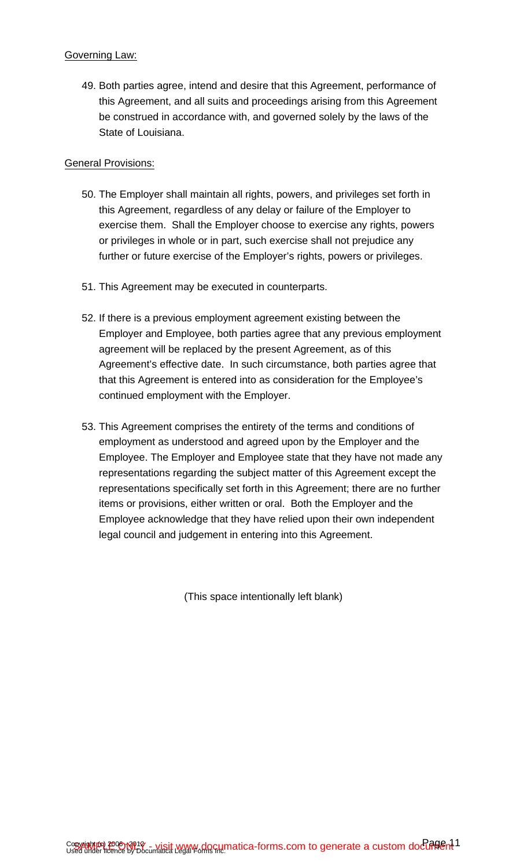#### Governing Law:

49. Both parties agree, intend and desire that this Agreement, performance of this Agreement, and all suits and proceedings arising from this Agreement be construed in accordance with, and governed solely by the laws of the State of Louisiana.

#### General Provisions:

- 50. The Employer shall maintain all rights, powers, and privileges set forth in this Agreement, regardless of any delay or failure of the Employer to exercise them. Shall the Employer choose to exercise any rights, powers or privileges in whole or in part, such exercise shall not prejudice any further or future exercise of the Employer's rights, powers or privileges.
- 51. This Agreement may be executed in counterparts.
- 52. If there is a previous employment agreement existing between the Employer and Employee, both parties agree that any previous employment agreement will be replaced by the present Agreement, as of this Agreement's effective date. In such circumstance, both parties agree that that this Agreement is entered into as consideration for the Employee's continued employment with the Employer.
- 53. This Agreement comprises the entirety of the terms and conditions of employment as understood and agreed upon by the Employer and the Employee. The Employer and Employee state that they have not made any representations regarding the subject matter of this Agreement except the representations specifically set forth in this Agreement; there are no further items or provisions, either written or oral. Both the Employer and the Employee acknowledge that they have relied upon their own independent legal council and judgement in entering into this Agreement.

(This space intentionally left blank)